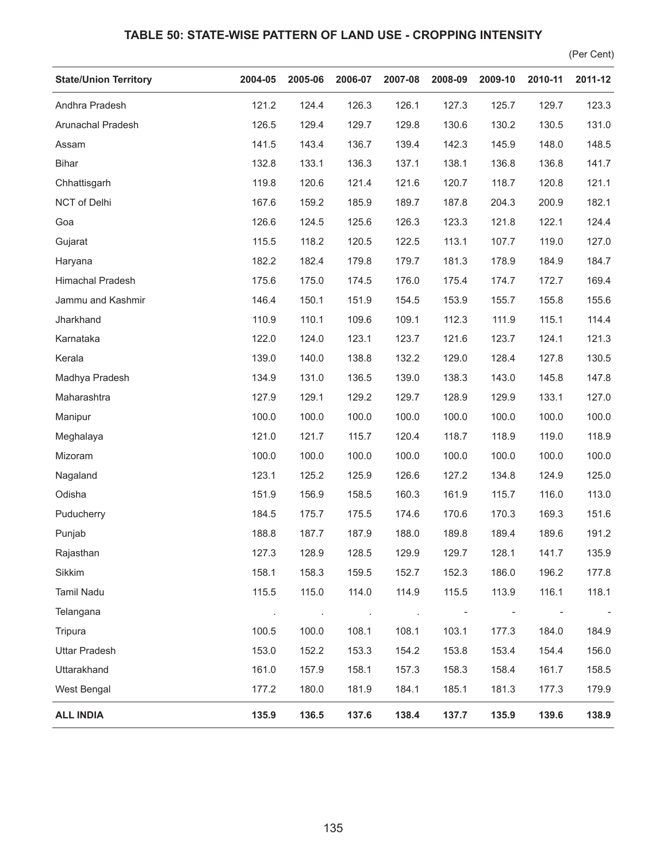## **TABLE 50: STATE-WISE PATTERN OF LAND USE - CROPPING INTENSITY**

(Per Cent)

| <b>State/Union Territory</b> | 2004-05 | 2005-06 | 2006-07 | 2007-08 | 2008-09 | 2009-10                  | 2010-11 | 2011-12 |
|------------------------------|---------|---------|---------|---------|---------|--------------------------|---------|---------|
| Andhra Pradesh               | 121.2   | 124.4   | 126.3   | 126.1   | 127.3   | 125.7                    | 129.7   | 123.3   |
| Arunachal Pradesh            | 126.5   | 129.4   | 129.7   | 129.8   | 130.6   | 130.2                    | 130.5   | 131.0   |
| Assam                        | 141.5   | 143.4   | 136.7   | 139.4   | 142.3   | 145.9                    | 148.0   | 148.5   |
| <b>Bihar</b>                 | 132.8   | 133.1   | 136.3   | 137.1   | 138.1   | 136.8                    | 136.8   | 141.7   |
| Chhattisgarh                 | 119.8   | 120.6   | 121.4   | 121.6   | 120.7   | 118.7                    | 120.8   | 121.1   |
| NCT of Delhi                 | 167.6   | 159.2   | 185.9   | 189.7   | 187.8   | 204.3                    | 200.9   | 182.1   |
| Goa                          | 126.6   | 124.5   | 125.6   | 126.3   | 123.3   | 121.8                    | 122.1   | 124.4   |
| Gujarat                      | 115.5   | 118.2   | 120.5   | 122.5   | 113.1   | 107.7                    | 119.0   | 127.0   |
| Haryana                      | 182.2   | 182.4   | 179.8   | 179.7   | 181.3   | 178.9                    | 184.9   | 184.7   |
| Himachal Pradesh             | 175.6   | 175.0   | 174.5   | 176.0   | 175.4   | 174.7                    | 172.7   | 169.4   |
| Jammu and Kashmir            | 146.4   | 150.1   | 151.9   | 154.5   | 153.9   | 155.7                    | 155.8   | 155.6   |
| Jharkhand                    | 110.9   | 110.1   | 109.6   | 109.1   | 112.3   | 111.9                    | 115.1   | 114.4   |
| Karnataka                    | 122.0   | 124.0   | 123.1   | 123.7   | 121.6   | 123.7                    | 124.1   | 121.3   |
| Kerala                       | 139.0   | 140.0   | 138.8   | 132.2   | 129.0   | 128.4                    | 127.8   | 130.5   |
| Madhya Pradesh               | 134.9   | 131.0   | 136.5   | 139.0   | 138.3   | 143.0                    | 145.8   | 147.8   |
| Maharashtra                  | 127.9   | 129.1   | 129.2   | 129.7   | 128.9   | 129.9                    | 133.1   | 127.0   |
| Manipur                      | 100.0   | 100.0   | 100.0   | 100.0   | 100.0   | 100.0                    | 100.0   | 100.0   |
| Meghalaya                    | 121.0   | 121.7   | 115.7   | 120.4   | 118.7   | 118.9                    | 119.0   | 118.9   |
| Mizoram                      | 100.0   | 100.0   | 100.0   | 100.0   | 100.0   | 100.0                    | 100.0   | 100.0   |
| Nagaland                     | 123.1   | 125.2   | 125.9   | 126.6   | 127.2   | 134.8                    | 124.9   | 125.0   |
| Odisha                       | 151.9   | 156.9   | 158.5   | 160.3   | 161.9   | 115.7                    | 116.0   | 113.0   |
| Puducherry                   | 184.5   | 175.7   | 175.5   | 174.6   | 170.6   | 170.3                    | 169.3   | 151.6   |
| Punjab                       | 188.8   | 187.7   | 187.9   | 188.0   | 189.8   | 189.4                    | 189.6   | 191.2   |
| Rajasthan                    | 127.3   | 128.9   | 128.5   | 129.9   | 129.7   | 128.1                    | 141.7   | 135.9   |
| Sikkim                       | 158.1   | 158.3   | 159.5   | 152.7   | 152.3   | 186.0                    | 196.2   | 177.8   |
| Tamil Nadu                   | 115.5   | 115.0   | 114.0   | 114.9   | 115.5   | 113.9                    | 116.1   | 118.1   |
| Telangana                    | $\cdot$ | $\sim$  | $\cdot$ | $\sim$  |         | $\overline{\phantom{a}}$ |         |         |
| Tripura                      | 100.5   | 100.0   | 108.1   | 108.1   | 103.1   | 177.3                    | 184.0   | 184.9   |
| <b>Uttar Pradesh</b>         | 153.0   | 152.2   | 153.3   | 154.2   | 153.8   | 153.4                    | 154.4   | 156.0   |
| Uttarakhand                  | 161.0   | 157.9   | 158.1   | 157.3   | 158.3   | 158.4                    | 161.7   | 158.5   |
| West Bengal                  | 177.2   | 180.0   | 181.9   | 184.1   | 185.1   | 181.3                    | 177.3   | 179.9   |
| <b>ALL INDIA</b>             | 135.9   | 136.5   | 137.6   | 138.4   | 137.7   | 135.9                    | 139.6   | 138.9   |